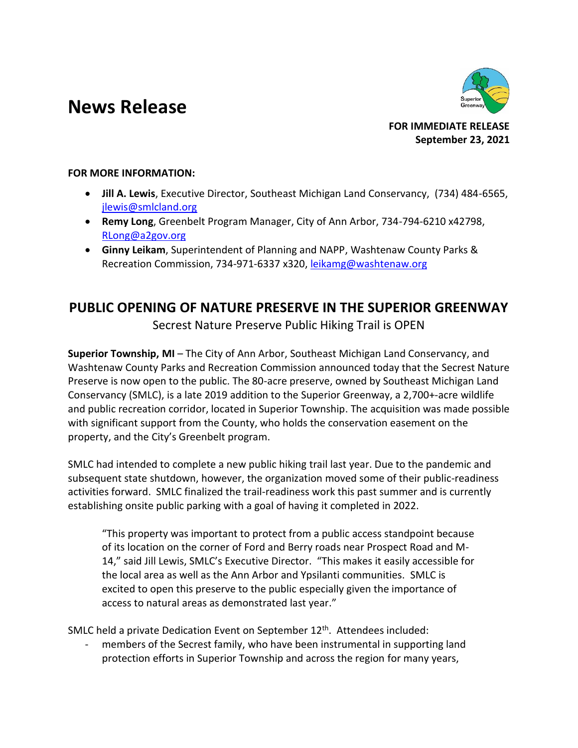## **News Release**



**FOR IMMEDIATE RELEASE September 23, 2021**

## **FOR MORE INFORMATION:**

- **Jill A. Lewis**, Executive Director, Southeast Michigan Land Conservancy, (734) 484-6565, [jlewis@smlcland.org](mailto:jlewis@smlcland.org)
- **Remy Long**, Greenbelt Program Manager, City of Ann Arbor, 734-794-6210 x42798, [RLong@a2gov.org](mailto:RLong@a2gov.org)
- **Ginny Leikam**, Superintendent of Planning and NAPP, Washtenaw County Parks & Recreation Commission, 734-971-6337 x320, leikamg@washtenaw.org

## **PUBLIC OPENING OF NATURE PRESERVE IN THE SUPERIOR GREENWAY**

Secrest Nature Preserve Public Hiking Trail is OPEN

**Superior Township, MI** – The City of Ann Arbor, Southeast Michigan Land Conservancy, and Washtenaw County Parks and Recreation Commission announced today that the Secrest Nature Preserve is now open to the public. The 80-acre preserve, owned by Southeast Michigan Land Conservancy (SMLC), is a late 2019 addition to the Superior Greenway, a 2,700+-acre wildlife and public recreation corridor, located in Superior Township. The acquisition was made possible with significant support from the County, who holds the conservation easement on the property, and the City's Greenbelt program.

SMLC had intended to complete a new public hiking trail last year. Due to the pandemic and subsequent state shutdown, however, the organization moved some of their public-readiness activities forward. SMLC finalized the trail-readiness work this past summer and is currently establishing onsite public parking with a goal of having it completed in 2022.

"This property was important to protect from a public access standpoint because of its location on the corner of Ford and Berry roads near Prospect Road and M-14," said Jill Lewis, SMLC's Executive Director. "This makes it easily accessible for the local area as well as the Ann Arbor and Ypsilanti communities. SMLC is excited to open this preserve to the public especially given the importance of access to natural areas as demonstrated last year."

SMLC held a private Dedication Event on September 12<sup>th</sup>. Attendees included:

members of the Secrest family, who have been instrumental in supporting land protection efforts in Superior Township and across the region for many years,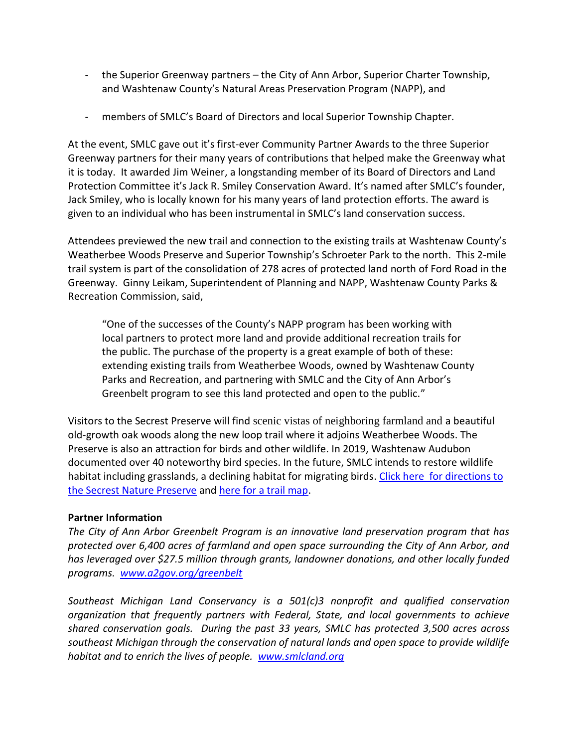- the Superior Greenway partners the City of Ann Arbor, Superior Charter Township, and Washtenaw County's Natural Areas Preservation Program (NAPP), and
- members of SMLC's Board of Directors and local Superior Township Chapter.

At the event, SMLC gave out it's first-ever Community Partner Awards to the three Superior Greenway partners for their many years of contributions that helped make the Greenway what it is today. It awarded Jim Weiner, a longstanding member of its Board of Directors and Land Protection Committee it's Jack R. Smiley Conservation Award. It's named after SMLC's founder, Jack Smiley, who is locally known for his many years of land protection efforts. The award is given to an individual who has been instrumental in SMLC's land conservation success.

Attendees previewed the new trail and connection to the existing trails at Washtenaw County's Weatherbee Woods Preserve and Superior Township's Schroeter Park to the north. This 2-mile trail system is part of the consolidation of 278 acres of protected land north of Ford Road in the Greenway. Ginny Leikam, Superintendent of Planning and NAPP, Washtenaw County Parks & Recreation Commission, said,

"One of the successes of the County's NAPP program has been working with local partners to protect more land and provide additional recreation trails for the public. The purchase of the property is a great example of both of these: extending existing trails from Weatherbee Woods, owned by Washtenaw County Parks and Recreation, and partnering with SMLC and the City of Ann Arbor's Greenbelt program to see this land protected and open to the public."

Visitors to the Secrest Preserve will find scenic vistas of neighboring farmland and a beautiful old-growth oak woods along the new loop trail where it adjoins Weatherbee Woods. The Preserve is also an attraction for birds and other wildlife. In 2019, Washtenaw Audubon documented over 40 noteworthy bird species. In the future, SMLC intends to restore wildlife habitat including grasslands, a declining habitat for migrating birds. Click here for directions to [the Secrest Nature Preserve](https://goo.gl/maps/d4kvQw237eb3Q6rLA) and [here for a trail map.](http://smlcland.org/documents/SMLC%20Secrest%20Nature%20Preserve%20Trail%20Map.pdf)

## **Partner Information**

*The City of Ann Arbor Greenbelt Program is an innovative land preservation program that has protected over 6,400 acres of farmland and open space surrounding the City of Ann Arbor, and has leveraged over \$27.5 million through grants, landowner donations, and other locally funded programs. [www.a2gov.org/greenbelt](http://www.a2gov.org/greenbelt)*

*Southeast Michigan Land Conservancy is a 501(c)3 nonprofit and qualified conservation organization that frequently partners with Federal, State, and local governments to achieve shared conservation goals. During the past 33 years, SMLC has protected 3,500 acres across southeast Michigan through the conservation of natural lands and open space to provide wildlife habitat and to enrich the lives of people. [www.smlcland.org](http://www.smlcland.org/)*